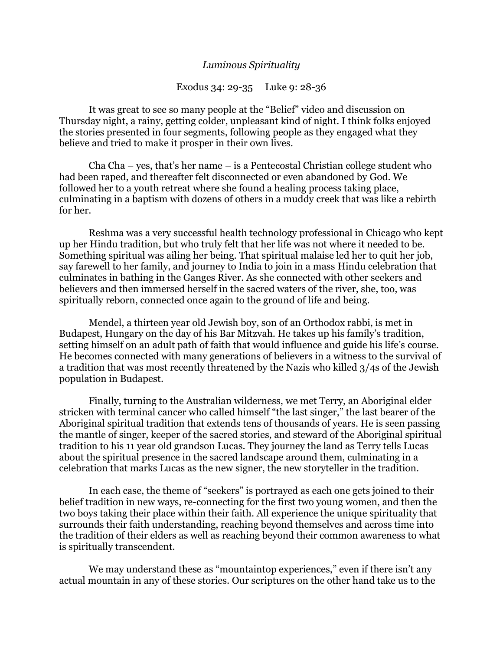## *Luminous Spirituality*

Exodus 34: 29-35 Luke 9: 28-36

It was great to see so many people at the "Belief" video and discussion on Thursday night, a rainy, getting colder, unpleasant kind of night. I think folks enjoyed the stories presented in four segments, following people as they engaged what they believe and tried to make it prosper in their own lives.

Cha Cha – yes, that's her name – is a Pentecostal Christian college student who had been raped, and thereafter felt disconnected or even abandoned by God. We followed her to a youth retreat where she found a healing process taking place, culminating in a baptism with dozens of others in a muddy creek that was like a rebirth for her.

Reshma was a very successful health technology professional in Chicago who kept up her Hindu tradition, but who truly felt that her life was not where it needed to be. Something spiritual was ailing her being. That spiritual malaise led her to quit her job, say farewell to her family, and journey to India to join in a mass Hindu celebration that culminates in bathing in the Ganges River. As she connected with other seekers and believers and then immersed herself in the sacred waters of the river, she, too, was spiritually reborn, connected once again to the ground of life and being.

Mendel, a thirteen year old Jewish boy, son of an Orthodox rabbi, is met in Budapest, Hungary on the day of his Bar Mitzvah. He takes up his family's tradition, setting himself on an adult path of faith that would influence and guide his life's course. He becomes connected with many generations of believers in a witness to the survival of a tradition that was most recently threatened by the Nazis who killed 3/4s of the Jewish population in Budapest.

Finally, turning to the Australian wilderness, we met Terry, an Aboriginal elder stricken with terminal cancer who called himself "the last singer," the last bearer of the Aboriginal spiritual tradition that extends tens of thousands of years. He is seen passing the mantle of singer, keeper of the sacred stories, and steward of the Aboriginal spiritual tradition to his 11 year old grandson Lucas. They journey the land as Terry tells Lucas about the spiritual presence in the sacred landscape around them, culminating in a celebration that marks Lucas as the new signer, the new storyteller in the tradition.

In each case, the theme of "seekers" is portrayed as each one gets joined to their belief tradition in new ways, re-connecting for the first two young women, and then the two boys taking their place within their faith. All experience the unique spirituality that surrounds their faith understanding, reaching beyond themselves and across time into the tradition of their elders as well as reaching beyond their common awareness to what is spiritually transcendent.

We may understand these as "mountaintop experiences," even if there isn't any actual mountain in any of these stories. Our scriptures on the other hand take us to the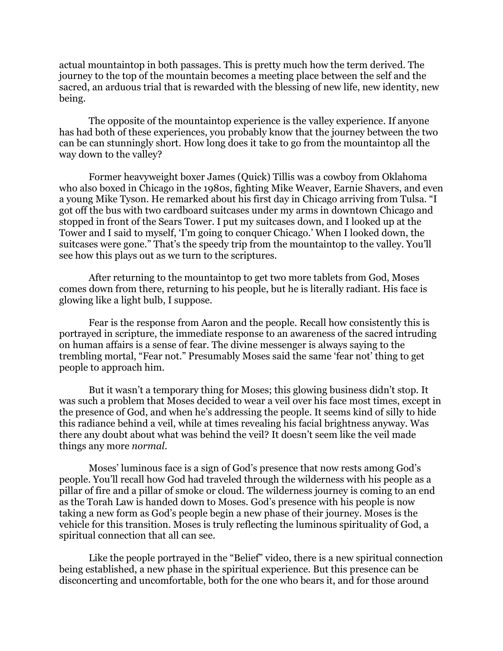actual mountaintop in both passages. This is pretty much how the term derived. The journey to the top of the mountain becomes a meeting place between the self and the sacred, an arduous trial that is rewarded with the blessing of new life, new identity, new being.

The opposite of the mountaintop experience is the valley experience. If anyone has had both of these experiences, you probably know that the journey between the two can be can stunningly short. How long does it take to go from the mountaintop all the way down to the valley?

Former heavyweight boxer James (Quick) Tillis was a cowboy from Oklahoma who also boxed in Chicago in the 1980s, fighting Mike Weaver, Earnie Shavers, and even a young Mike Tyson. He remarked about his first day in Chicago arriving from Tulsa. "I got off the bus with two cardboard suitcases under my arms in downtown Chicago and stopped in front of the Sears Tower. I put my suitcases down, and I looked up at the Tower and I said to myself, 'I'm going to conquer Chicago.' When I looked down, the suitcases were gone." That's the speedy trip from the mountaintop to the valley. You'll see how this plays out as we turn to the scriptures.

After returning to the mountaintop to get two more tablets from God, Moses comes down from there, returning to his people, but he is literally radiant. His face is glowing like a light bulb, I suppose.

Fear is the response from Aaron and the people. Recall how consistently this is portrayed in scripture, the immediate response to an awareness of the sacred intruding on human affairs is a sense of fear. The divine messenger is always saying to the trembling mortal, "Fear not." Presumably Moses said the same 'fear not' thing to get people to approach him.

But it wasn't a temporary thing for Moses; this glowing business didn't stop. It was such a problem that Moses decided to wear a veil over his face most times, except in the presence of God, and when he's addressing the people. It seems kind of silly to hide this radiance behind a veil, while at times revealing his facial brightness anyway. Was there any doubt about what was behind the veil? It doesn't seem like the veil made things any more *normal*.

Moses' luminous face is a sign of God's presence that now rests among God's people. You'll recall how God had traveled through the wilderness with his people as a pillar of fire and a pillar of smoke or cloud. The wilderness journey is coming to an end as the Torah Law is handed down to Moses. God's presence with his people is now taking a new form as God's people begin a new phase of their journey. Moses is the vehicle for this transition. Moses is truly reflecting the luminous spirituality of God, a spiritual connection that all can see.

Like the people portrayed in the "Belief" video, there is a new spiritual connection being established, a new phase in the spiritual experience. But this presence can be disconcerting and uncomfortable, both for the one who bears it, and for those around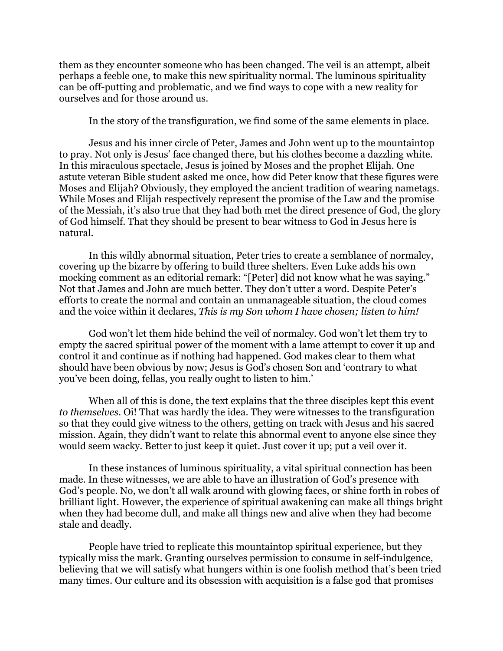them as they encounter someone who has been changed. The veil is an attempt, albeit perhaps a feeble one, to make this new spirituality normal. The luminous spirituality can be off-putting and problematic, and we find ways to cope with a new reality for ourselves and for those around us.

In the story of the transfiguration, we find some of the same elements in place.

Jesus and his inner circle of Peter, James and John went up to the mountaintop to pray. Not only is Jesus' face changed there, but his clothes become a dazzling white. In this miraculous spectacle, Jesus is joined by Moses and the prophet Elijah. One astute veteran Bible student asked me once, how did Peter know that these figures were Moses and Elijah? Obviously, they employed the ancient tradition of wearing nametags. While Moses and Elijah respectively represent the promise of the Law and the promise of the Messiah, it's also true that they had both met the direct presence of God, the glory of God himself. That they should be present to bear witness to God in Jesus here is natural.

In this wildly abnormal situation, Peter tries to create a semblance of normalcy, covering up the bizarre by offering to build three shelters. Even Luke adds his own mocking comment as an editorial remark: "[Peter] did not know what he was saying." Not that James and John are much better. They don't utter a word. Despite Peter's efforts to create the normal and contain an unmanageable situation, the cloud comes and the voice within it declares, *This is my Son whom I have chosen; listen to him!*

God won't let them hide behind the veil of normalcy. God won't let them try to empty the sacred spiritual power of the moment with a lame attempt to cover it up and control it and continue as if nothing had happened. God makes clear to them what should have been obvious by now; Jesus is God's chosen Son and 'contrary to what you've been doing, fellas, you really ought to listen to him.'

When all of this is done, the text explains that the three disciples kept this event *to themselves*. Oi! That was hardly the idea. They were witnesses to the transfiguration so that they could give witness to the others, getting on track with Jesus and his sacred mission. Again, they didn't want to relate this abnormal event to anyone else since they would seem wacky. Better to just keep it quiet. Just cover it up; put a veil over it.

In these instances of luminous spirituality, a vital spiritual connection has been made. In these witnesses, we are able to have an illustration of God's presence with God's people. No, we don't all walk around with glowing faces, or shine forth in robes of brilliant light. However, the experience of spiritual awakening can make all things bright when they had become dull, and make all things new and alive when they had become stale and deadly.

People have tried to replicate this mountaintop spiritual experience, but they typically miss the mark. Granting ourselves permission to consume in self-indulgence, believing that we will satisfy what hungers within is one foolish method that's been tried many times. Our culture and its obsession with acquisition is a false god that promises